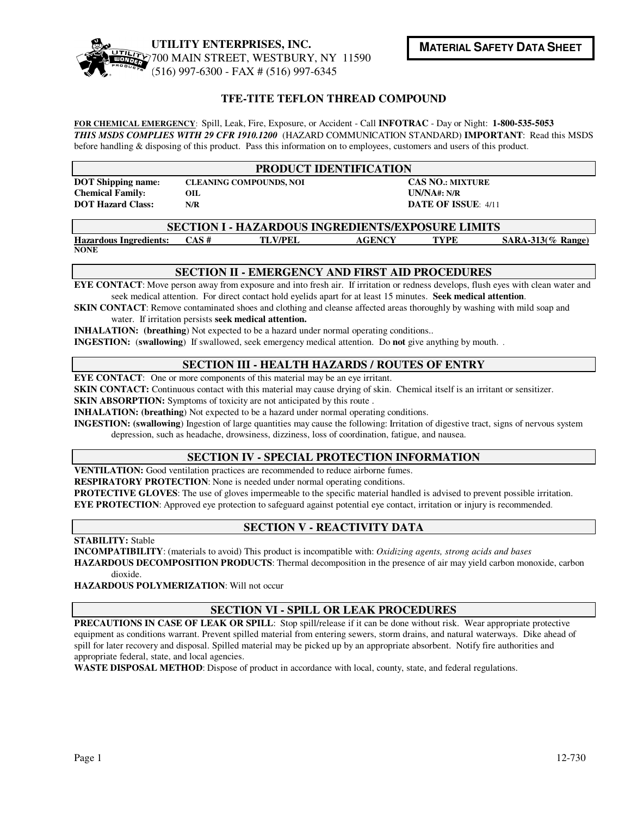

## **TFE-TITE TEFLON THREAD COMPOUND**

**FOR CHEMICAL EMERGENCY**: Spill, Leak, Fire, Exposure, or Accident - Call **INFOTRAC** - Day or Night: **1-800-535-5053** *THIS MSDS COMPLIES WITH 29 CFR 1910.1200* (HAZARD COMMUNICATION STANDARD) **IMPORTANT**: Read this MSDS before handling & disposing of this product. Pass this information on to employees, customers and users of this product.

| <b>PRODUCT IDENTIFICATION</b> |                                |                            |  |  |  |  |
|-------------------------------|--------------------------------|----------------------------|--|--|--|--|
| <b>DOT</b> Shipping name:     | <b>CLEANING COMPOUNDS, NOI</b> | <b>CAS NO.: MIXTURE</b>    |  |  |  |  |
| <b>Chemical Family:</b>       | OІL                            | UN/NA#: N/R                |  |  |  |  |
| <b>DOT Hazard Class:</b>      | N/R                            | <b>DATE OF ISSUE: 4/11</b> |  |  |  |  |

| <b>SECTION I - HAZARDOUS INGREDIENTS/EXPOSURE LIMITS</b> |      |                |        |      |                        |  |  |
|----------------------------------------------------------|------|----------------|--------|------|------------------------|--|--|
| <b>Hazardous Ingredients:</b>                            | CAS# | <b>TLV/PEL</b> | AGENCY | TYPF | $SARA-313$ $\%$ Range) |  |  |
| <b>NONE</b>                                              |      |                |        |      |                        |  |  |

#### **SECTION II - EMERGENCY AND FIRST AID PROCEDURES**

**EYE CONTACT**: Move person away from exposure and into fresh air. If irritation or redness develops, flush eyes with clean water and seek medical attention. For direct contact hold eyelids apart for at least 15 minutes. **Seek medical attention**.

**SKIN CONTACT**: Remove contaminated shoes and clothing and cleanse affected areas thoroughly by washing with mild soap and water. If irritation persists **seek medical attention.** 

**INHALATION:** (breathing) Not expected to be a hazard under normal operating conditions..

**INGESTION:** (**swallowing**) If swallowed, seek emergency medical attention. Do **not** give anything by mouth. .

#### **SECTION III - HEALTH HAZARDS / ROUTES OF ENTRY**

**EYE CONTACT:** One or more components of this material may be an eye irritant.

**SKIN CONTACT:** Continuous contact with this material may cause drying of skin. Chemical itself is an irritant or sensitizer.

**SKIN ABSORPTION:** Symptoms of toxicity are not anticipated by this route.

**INHALATION: (breathing**) Not expected to be a hazard under normal operating conditions.

**INGESTION: (swallowing**) Ingestion of large quantities may cause the following: Irritation of digestive tract, signs of nervous system

depression, such as headache, drowsiness, dizziness, loss of coordination, fatigue, and nausea.

#### **SECTION IV - SPECIAL PROTECTION INFORMATION**

**VENTILATION:** Good ventilation practices are recommended to reduce airborne fumes.

**RESPIRATORY PROTECTION**: None is needed under normal operating conditions.

**PROTECTIVE GLOVES**: The use of gloves impermeable to the specific material handled is advised to prevent possible irritation. **EYE PROTECTION**: Approved eye protection to safeguard against potential eye contact, irritation or injury is recommended.

## **SECTION V - REACTIVITY DATA**

**STABILITY:** Stable

**INCOMPATIBILITY**: (materials to avoid) This product is incompatible with: *Oxidizing agents, strong acids and bases* 

**HAZARDOUS DECOMPOSITION PRODUCTS**: Thermal decomposition in the presence of air may yield carbon monoxide, carbon dioxide.

**HAZARDOUS POLYMERIZATION**: Will not occur

## **SECTION VI - SPILL OR LEAK PROCEDURES**

**PRECAUTIONS IN CASE OF LEAK OR SPILL**: Stop spill/release if it can be done without risk. Wear appropriate protective equipment as conditions warrant. Prevent spilled material from entering sewers, storm drains, and natural waterways. Dike ahead of spill for later recovery and disposal. Spilled material may be picked up by an appropriate absorbent. Notify fire authorities and appropriate federal, state, and local agencies.

**WASTE DISPOSAL METHOD**: Dispose of product in accordance with local, county, state, and federal regulations.